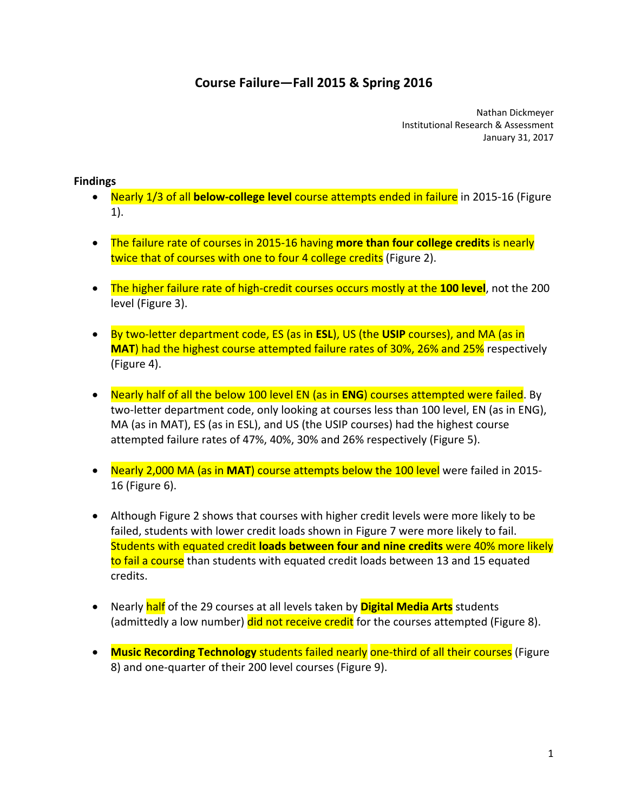# **Course Failure—Fall 2015 & Spring 2016**

 Nathan Dickmeyer Institutional Research & Assessment January 31, 2017

### **Findings**

- Nearly 1/3 of all **below‐college level** course attempts ended in failure in 2015‐16 (Figure 1).
- The failure rate of courses in 2015‐16 having **more than four college credits** is nearly twice that of courses with one to four 4 college credits (Figure 2).
- The higher failure rate of high‐credit courses occurs mostly at the **100 level**, not the 200 level (Figure 3).
- By two‐letter department code, ES (as in **ESL**), US (the **USIP** courses), and MA (as in **MAT**) had the highest course attempted failure rates of 30%, 26% and 25% respectively (Figure 4).
- Nearly half of all the below 100 level EN (as in **ENG**) courses attempted were failed. By two‐letter department code, only looking at courses less than 100 level, EN (as in ENG), MA (as in MAT), ES (as in ESL), and US (the USIP courses) had the highest course attempted failure rates of 47%, 40%, 30% and 26% respectively (Figure 5).
- Nearly 2,000 MA (as in MAT) course attempts below the 100 level were failed in 2015-16 (Figure 6).
- Although Figure 2 shows that courses with higher credit levels were more likely to be failed, students with lower credit loads shown in Figure 7 were more likely to fail.  Students with equated credit **loads between four and nine credits** were 40% more likely to fail a course than students with equated credit loads between 13 and 15 equated credits.
- Nearly half of the 29 courses at all levels taken by **Digital Media Arts** students (admittedly a low number) <mark>did not receive credit</mark> for the courses attempted (Figure 8).
- **Music Recording Technology** students failed nearly one‐third of all their courses (Figure 8) and one‐quarter of their 200 level courses (Figure 9).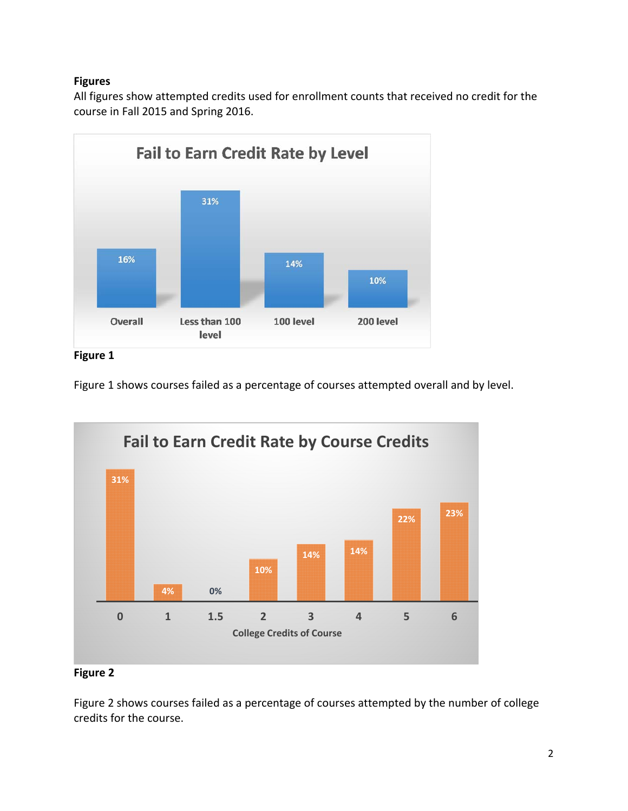## **Figures**

All figures show attempted credits used for enrollment counts that received no credit for the course in Fall 2015 and Spring 2016.



**Figure 1** 

Figure 1 shows courses failed as a percentage of courses attempted overall and by level.



## **Figure 2**

 Figure 2 shows courses failed as a percentage of courses attempted by the number of college credits for the course.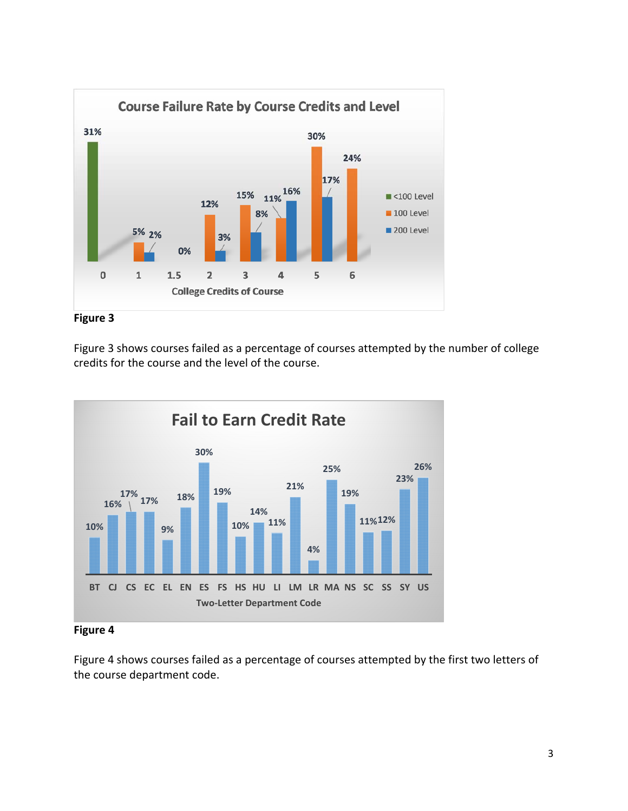



 Figure 3 shows courses failed as a percentage of courses attempted by the number of college credits for the course and the level of the course.



#### **Figure 4**

 Figure 4 shows courses failed as a percentage of courses attempted by the first two letters of the course department code.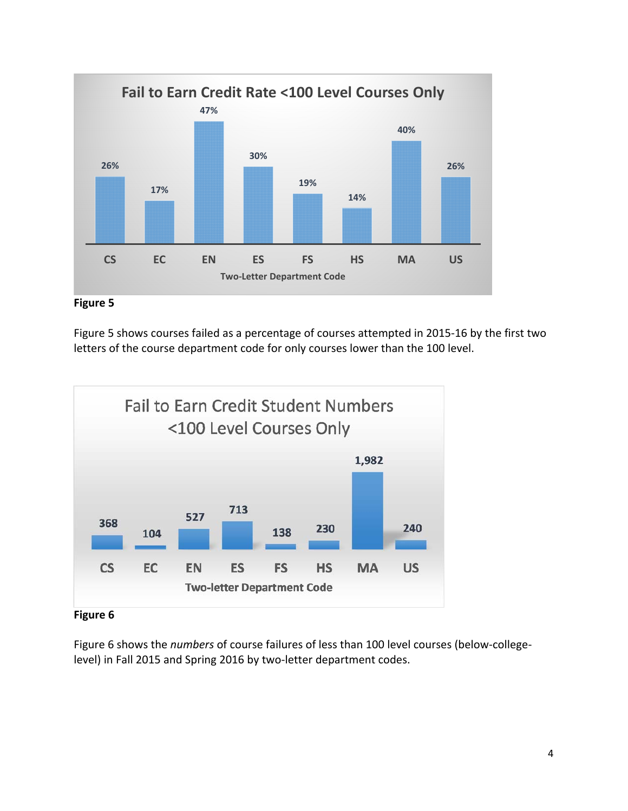



 Figure 5 shows courses failed as a percentage of courses attempted in 2015‐16 by the first two letters of the course department code for only courses lower than the 100 level.



 **Figure 6**

 Figure 6 shows the *numbers* of course failures of less than 100 level courses (below‐college‐ level) in Fall 2015 and Spring 2016 by two‐letter department codes.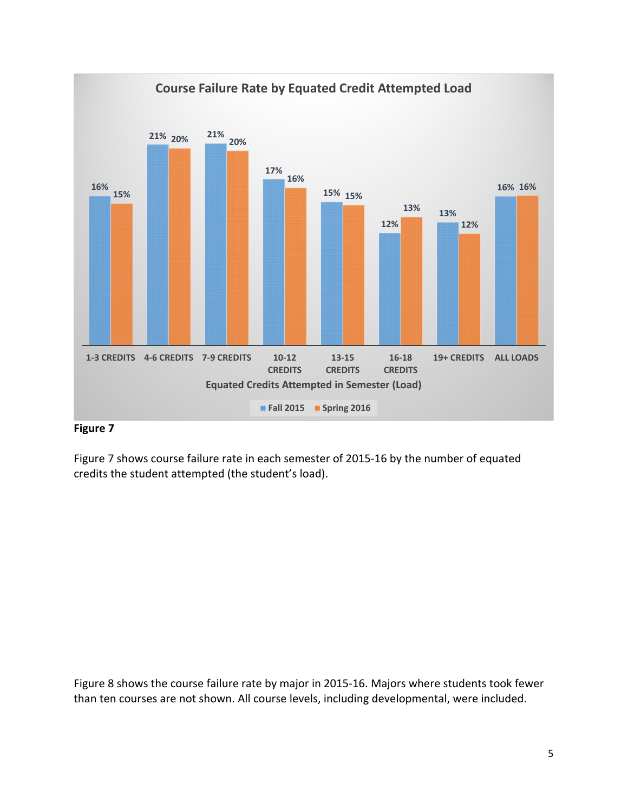

## **Figure 7**

 Figure 7 shows course failure rate in each semester of 2015‐16 by the number of equated credits the student attempted (the student's load).

 Figure 8 shows the course failure rate by major in 2015‐16. Majors where students took fewer than ten courses are not shown. All course levels, including developmental, were included.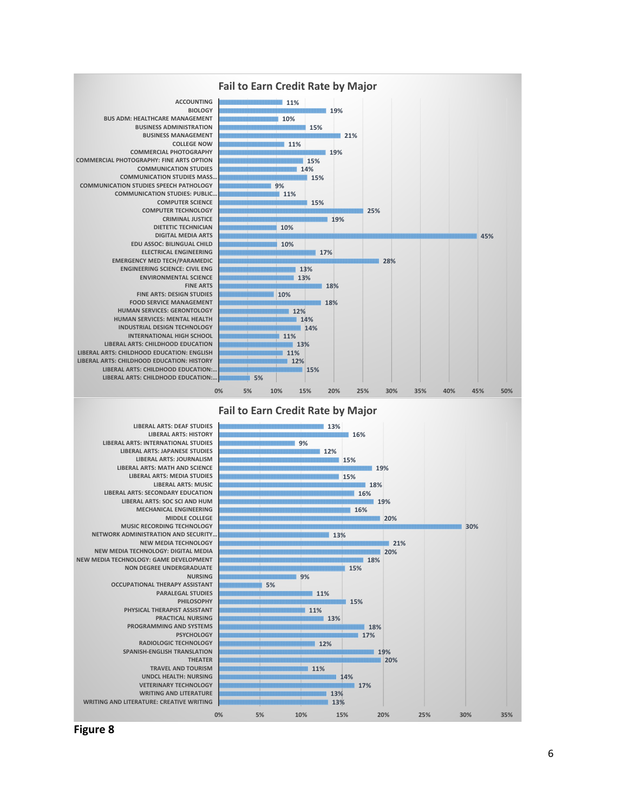

 **Figure 8**